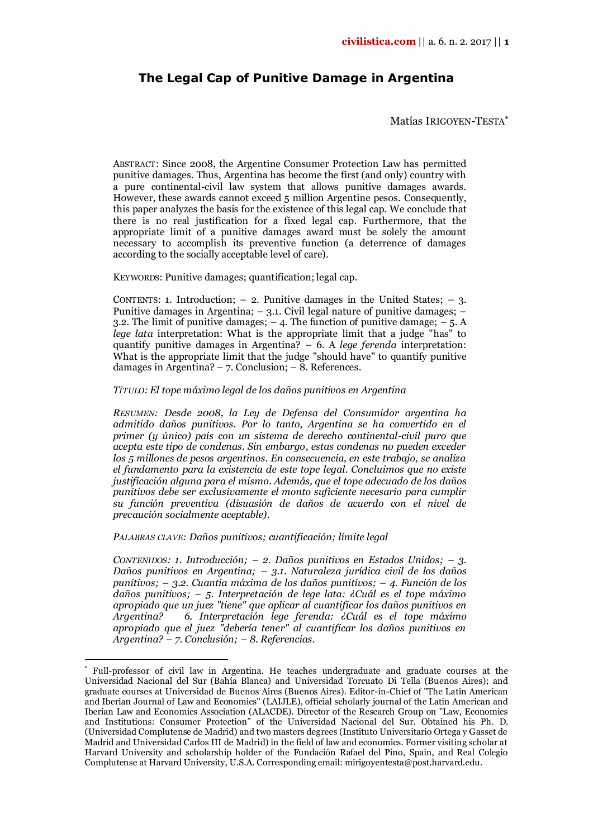# **The Legal Cap of Punitive Damage in Argentina**

Matías IRIGOYEN-TESTA\*

ABSTRACT: Since 2008, the Argentine Consumer Protection Law has permitted punitive damages. Thus, Argentina has become the first (and only) country with a pure continental-civil law system that allows punitive damages awards. However, these awards cannot exceed 5 million Argentine pesos. Consequently, this paper analyzes the basis for the existence of this legal cap. We conclude that there is no real justification for a fixed legal cap. Furthermore, that the appropriate limit of a punitive damages award must be solely the amount necessary to accomplish its preventive function (a deterrence of damages according to the socially acceptable level of care).

KEYWORDS: Punitive damages; quantification; legal cap.

CONTENTS: 1. Introduction;  $-2$ . Punitive damages in the United States;  $-3$ . Punitive damages in Argentina;  $-3.1$ . Civil legal nature of punitive damages;  $-$ 3.2. The limit of punitive damages;  $-4$ . The function of punitive damage;  $-5$ . A *lege lata* interpretation: What is the appropriate limit that a judge "has" to quantify punitive damages in Argentina? – 6. A *lege ferenda* interpretation: What is the appropriate limit that the judge "should have" to quantify punitive damages in Argentina? – 7. Conclusion; –  $\overline{8}$ . References.

*TÍTULO: El tope máximo legal de los daños punitivos en Argentina*

*RESUMEN: Desde 2008, la Ley de Defensa del Consumidor argentina ha admitido daños punitivos. Por lo tanto, Argentina se ha convertido en el primer (y único) país con un sistema de derecho continental-civil puro que acepta este tipo de condenas. Sin embargo, estas condenas no pueden exceder los 5 millones de pesos argentinos. En consecuencia, en este trabajo, se analiza el fundamento para la existencia de este tope legal. Concluimos que no existe justificación alguna para el mismo. Además, que el tope adecuado de los daños punitivos debe ser exclusivamente el monto suficiente necesario para cumplir su función preventiva (disuasión de daños de acuerdo con el nivel de precaución socialmente aceptable).*

*PALABRAS CLAVE: Daños punitivos; cuantificación; límite legal*

 $\overline{a}$ 

*CONTENIDOS: 1. Introducción; – 2. Daños punitivos en Estados Unidos; – 3. Daños punitivos en Argentina; – 3.1. Naturaleza jurídica civil de los daños punitivos; – 3.2. Cuantía máxima de los daños punitivos; – 4. Función de los daños punitivos; – 5. Interpretación de lege lata: ¿Cuál es el tope máximo apropiado que un juez "tiene" que aplicar al cuantificar los daños punitivos en Argentina? 6. Interpretación lege ferenda: ¿Cuál es el tope máximo apropiado que el juez "debería tener" al cuantificar los daños punitivos en Argentina? – 7. Conclusión; – 8. Referencias.*

<sup>\*</sup> Full-professor of civil law in Argentina. He teaches undergraduate and graduate courses at the Universidad Nacional del Sur (Bahía Blanca) and Universidad Torcuato Di Tella (Buenos Aires); and graduate courses at Universidad de Buenos Aires (Buenos Aires). Editor-in-Chief of "The Latin American and Iberian Journal of Law and Economics" (LAIJLE), official scholarly journal of the Latin American and Iberian Law and Economics Association (ALACDE). Director of the Research Group on "Law, Economics and Institutions: Consumer Protection" of the Universidad Nacional del Sur. Obtained his Ph. D. (Universidad Complutense de Madrid) and two masters degrees (Instituto Universitario Ortega y Gasset de Madrid and Universidad Carlos III de Madrid) in the field of law and economics. Former visiting scholar at Harvard University and scholarship holder of the Fundación Rafael del Pino, Spain, and Real Colegio Complutense at Harvard University, U.S.A. Corresponding email: mirigoyentesta@post.harvard.edu.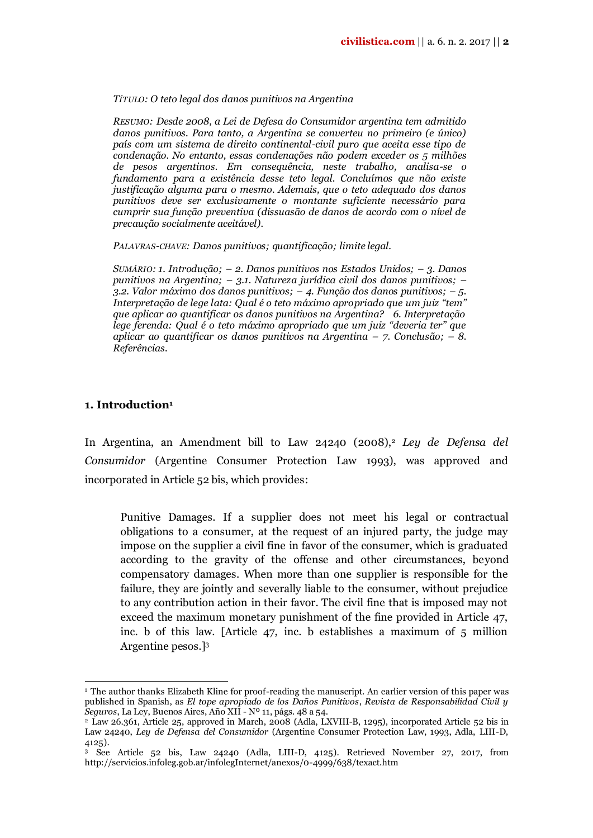#### *TÍTULO: O teto legal dos danos punitivos na Argentina*

*RESUMO: Desde 2008, a Lei de Defesa do Consumidor argentina tem admitido danos punitivos. Para tanto, a Argentina se converteu no primeiro (e único) país com um sistema de direito continental-civil puro que aceita esse tipo de condenação. No entanto, essas condenações não podem exceder os 5 milhões de pesos argentinos. Em consequência, neste trabalho, analisa-se o fundamento para a existência desse teto legal. Concluímos que não existe justificação alguma para o mesmo. Ademais, que o teto adequado dos danos punitivos deve ser exclusivamente o montante suficiente necessário para cumprir sua função preventiva (dissuasão de danos de acordo com o nível de precaução socialmente aceitável).*

*PALAVRAS-CHAVE: Danos punitivos; quantificação; limite legal.*

*SUMÁRIO: 1. Introdução; – 2. Danos punitivos nos Estados Unidos; – 3. Danos punitivos na Argentina; – 3.1. Natureza jurídica civil dos danos punitivos; – 3.2. Valor máximo dos danos punitivos; – 4. Função dos danos punitivos; – 5. Interpretação de lege lata: Qual é o teto máximo apropriado que um juiz "tem" que aplicar ao quantificar os danos punitivos na Argentina? 6. Interpretação lege ferenda: Qual é o teto máximo apropriado que um juiz "deveria ter" que aplicar ao quantificar os danos punitivos na Argentina – 7. Conclusão; – 8. Referências.*

#### **1. Introduction<sup>1</sup>**

1

In Argentina, an Amendment bill to Law 24240 (2008),<sup>2</sup> *Ley de Defensa del Consumidor* (Argentine Consumer Protection Law 1993), was approved and incorporated in Article 52 bis, which provides:

Punitive Damages. If a supplier does not meet his legal or contractual obligations to a consumer, at the request of an injured party, the judge may impose on the supplier a civil fine in favor of the consumer, which is graduated according to the gravity of the offense and other circumstances, beyond compensatory damages. When more than one supplier is responsible for the failure, they are jointly and severally liable to the consumer, without prejudice to any contribution action in their favor. The civil fine that is imposed may not exceed the maximum monetary punishment of the fine provided in Article 47, inc. b of this law. [Article 47, inc. b establishes a maximum of 5 million Argentine pesos.]<sup>3</sup>

<sup>1</sup> The author thanks Elizabeth Kline for proof-reading the manuscript. An earlier version of this paper was published in Spanish, as *El tope apropiado de los Daños Punitivos*, *Revista de Responsabilidad Civil y Seguros*, La Ley, Buenos Aires, Año XII - Nº 11, págs. 48 a 54.

<sup>2</sup> Law 26.361, Article 25, approved in March, 2008 (Adla, LXVIII-B, 1295), incorporated Article 52 bis in Law 24240, *Ley de Defensa del Consumidor* (Argentine Consumer Protection Law, 1993, Adla, LIII-D, 4125).

<sup>3</sup> See Article 52 bis, Law 24240 (Adla, LIII-D, 4125). Retrieved November 27, 2017, from http://servicios.infoleg.gob.ar/infolegInternet/anexos/0-4999/638/texact.htm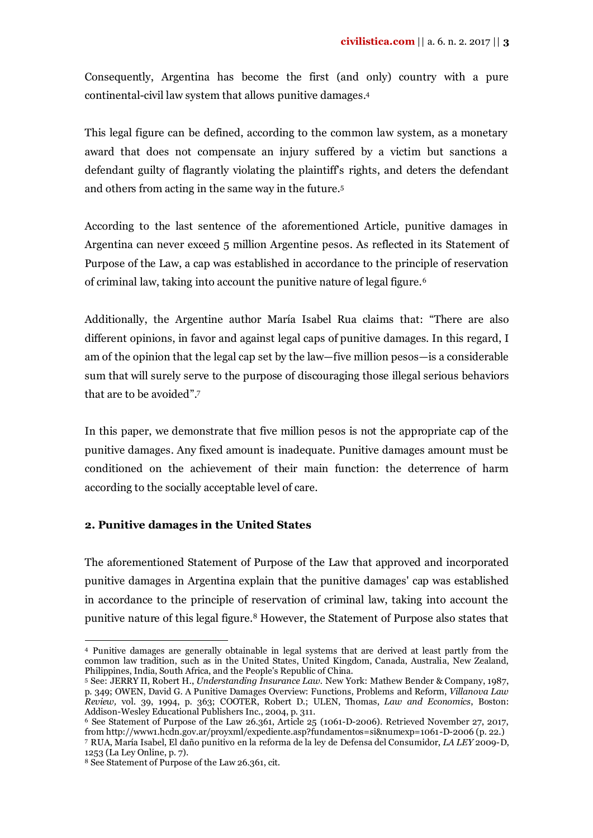Consequently, Argentina has become the first (and only) country with a pure continental-civil law system that allows punitive damages. 4

This legal figure can be defined, according to the common law system, as a monetary award that does not compensate an injury suffered by a victim but sanctions a defendant guilty of flagrantly violating the plaintiff's rights, and deters the defendant and others from acting in the same way in the future.<sup>5</sup>

According to the last sentence of the aforementioned Article, punitive damages in Argentina can never exceed 5 million Argentine pesos. As reflected in its Statement of Purpose of the Law, a cap was established in accordance to the principle of reservation of criminal law, taking into account the punitive nature of legal figure. 6

Additionally, the Argentine author María Isabel Rua claims that: "There are also different opinions, in favor and against legal caps of punitive damages. In this regard, I am of the opinion that the legal cap set by the law—five million pesos—is a considerable sum that will surely serve to the purpose of discouraging those illegal serious behaviors that are to be avoided".<sup>7</sup>

In this paper, we demonstrate that five million pesos is not the appropriate cap of the punitive damages. Any fixed amount is inadequate. Punitive damages amount must be conditioned on the achievement of their main function: the deterrence of harm according to the socially acceptable level of care.

# **2. Punitive damages in the United States**

The aforementioned Statement of Purpose of the Law that approved and incorporated punitive damages in Argentina explain that the punitive damages' cap was established in accordance to the principle of reservation of criminal law, taking into account the punitive nature of this legal figure.<sup>8</sup> However, the Statement of Purpose also states that

<sup>1</sup> <sup>4</sup> Punitive damages are generally obtainable in legal systems that are derived at least partly from the common law tradition, such as in the United States, United Kingdom, Canada, Australia, New Zealand, Philippines, India, South Africa, and the People's Republic of China.

<sup>5</sup> See: JERRY II, Robert H., *Understanding Insurance Law.* New York: Mathew Bender & Company, 1987, p. 349; OWEN, David G. A Punitive Damages Overview: Functions, Problems and Reform, *Villanova Law Review,* vol. 39, 1994, p. 363; COOTER, Robert D.; ULEN, Thomas, *Law and Economics*, Boston: Addison-Wesley Educational Publishers Inc., 2004, p. 311.

<sup>6</sup> See Statement of Purpose of the Law 26.361, Article 25 (1061-D-2006). Retrieved November 27, 2017, fro[m http://www1.hcdn.gov.ar/proyxml/expediente.asp?fundamentos=si&numexp=1061-D-2006](http://www1.hcdn.gov.ar/proyxml/expediente.asp?fundamentos=si&numexp=1061-D-2006) (p. 22.) <sup>7</sup> RUA, María Isabel, El daño punitivo en la reforma de la ley de Defensa del Consumidor, *LA LEY* 2009-D, 1253 (La Ley Online, p. 7).

<sup>8</sup> See Statement of Purpose of the Law 26.361, cit.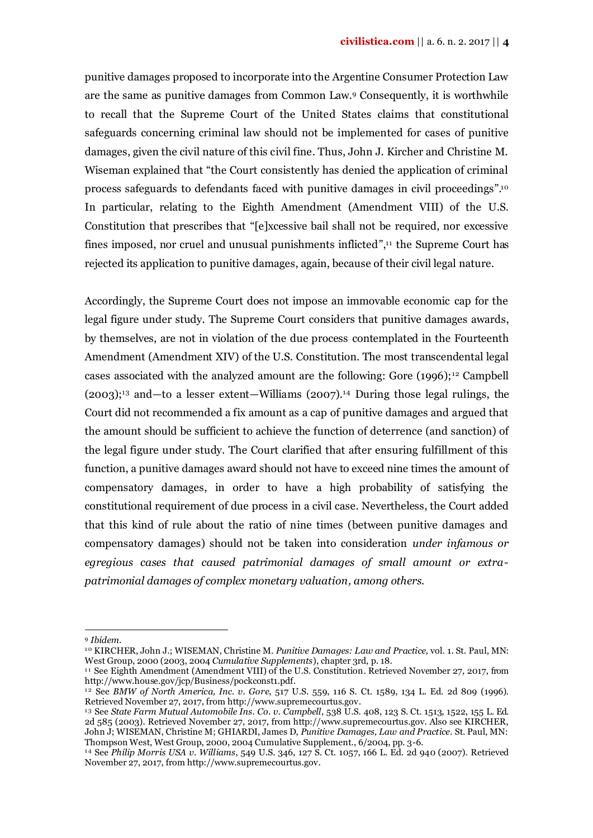punitive damages proposed to incorporate into the Argentine Consumer Protection Law are the same as punitive damages from Common Law.<sup>9</sup> Consequently, it is worthwhile to recall that the Supreme Court of the United States claims that constitutional safeguards concerning criminal law should not be implemented for cases of punitive damages, given the civil nature of this civil fine. Thus, John J. Kircher and Christine M. Wiseman explained that "the Court consistently has denied the application of criminal process safeguards to defendants faced with punitive damages in civil proceedings".<sup>10</sup> In particular, relating to the Eighth Amendment (Amendment VIII) of the U.S. Constitution that prescribes that "[e]xcessive bail shall not be required, nor excessive fines imposed, nor cruel and unusual punishments inflicted", <sup>11</sup> the Supreme Court has rejected its application to punitive damages, again, because of their civil legal nature.

Accordingly, the Supreme Court does not impose an immovable economic cap for the legal figure under study. The Supreme Court considers that punitive damages awards, by themselves, are not in violation of the due process contemplated in the Fourteenth Amendment (Amendment XIV) of the U.S. Constitution. The most transcendental legal cases associated with the analyzed amount are the following: Gore  $(1996)$ ;<sup>12</sup> Campbell  $(2003)$ ;<sup>13</sup> and—to a lesser extent—Williams  $(2007)$ .<sup>14</sup> During those legal rulings, the Court did not recommended a fix amount as a cap of punitive damages and argued that the amount should be sufficient to achieve the function of deterrence (and sanction) of the legal figure under study. The Court clarified that after ensuring fulfillment of this function, a punitive damages award should not have to exceed nine times the amount of compensatory damages, in order to have a high probability of satisfying the constitutional requirement of due process in a civil case. Nevertheless, the Court added that this kind of rule about the ratio of nine times (between punitive damages and compensatory damages) should not be taken into consideration *under infamous or egregious cases that caused patrimonial damages of small amount or extrapatrimonial damages of complex monetary valuation, among others.*

1

<sup>9</sup> *Ibidem*.

<sup>1 0</sup> KIRCHER, John J.; WISEMAN, Christine M. *Punitive Damages: Law and Practice,* vol. 1. St. Paul, MN: West Group, 2000 (2003, 2004 *Cumulative Supplements*), chapter 3rd, p. 18.

<sup>&</sup>lt;sup>11</sup> See Eighth Amendment (Amendment VIII) of the U.S. Constitution. Retrieved November 27, 2017, from http://www.house.gov/jcp/Business/pockconst1.pdf.

<sup>1 2</sup> See *BMW of North America, Inc. v. Gore*, 517 U.S. 559, 116 S. Ct. 1589, 134 L. Ed. 2d 809 (1996). Retrieved November 27, 2017, from http://www.supremecourtus.gov.

<sup>1 3</sup> See *State Farm Mutual Automobile Ins. Co. v. Campbell*, 538 U.S. 408, 123 S. Ct. 1513, 1522, 155 L. Ed. 2d 585 (2003). Retrieved November 27, 2017, from http://www.supremecourtus.gov. Also see KIRCHER, John J; WISEMAN, Christine M; GHIARDI, James D, *Punitive Damages, Law and Practice*. St. Paul, MN: Thompson West, West Group, 2000, 2004 Cumulative Supplement., 6/2004, pp. 3-6.

<sup>1 4</sup> See *Philip Morris USA v. Williams*, 549 U.S. 346, 127 S. Ct. 1057, 166 L. Ed. 2d 940 (2007). Retrieved November 27, 2017, from http://www.supremecourtus.gov.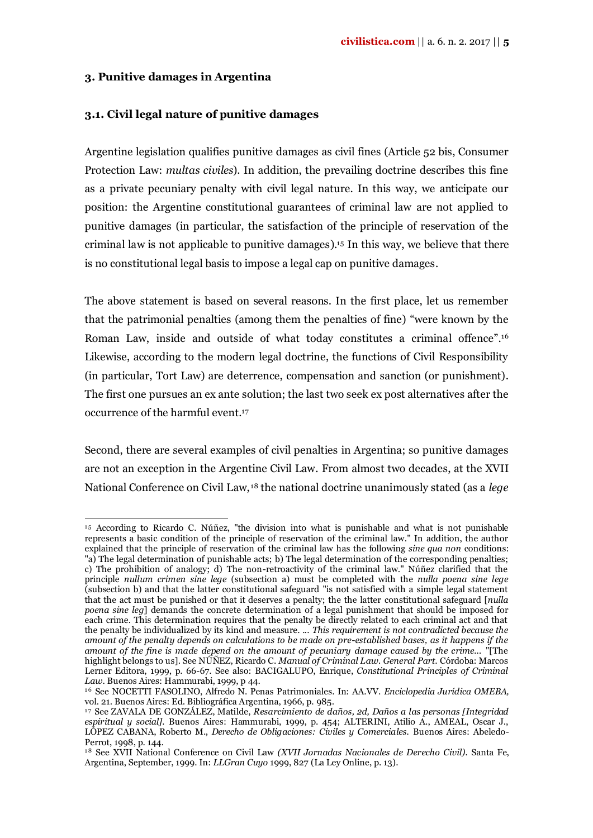## **3. Punitive damages in Argentina**

 $\overline{a}$ 

## **3.1. Civil legal nature of punitive damages**

Argentine legislation qualifies punitive damages as civil fines (Article 52 bis, Consumer Protection Law: *multas civiles*). In addition, the prevailing doctrine describes this fine as a private pecuniary penalty with civil legal nature. In this way, we anticipate our position: the Argentine constitutional guarantees of criminal law are not applied to punitive damages (in particular, the satisfaction of the principle of reservation of the criminal law is not applicable to punitive damages).<sup>15</sup> In this way, we believe that there is no constitutional legal basis to impose a legal cap on punitive damages.

The above statement is based on several reasons. In the first place, let us remember that the patrimonial penalties (among them the penalties of fine) "were known by the Roman Law, inside and outside of what today constitutes a criminal offence". 16 Likewise, according to the modern legal doctrine, the functions of Civil Responsibility (in particular, Tort Law) are deterrence, compensation and sanction (or punishment). The first one pursues an ex ante solution; the last two seek ex post alternatives after the occurrence of the harmful event.<sup>17</sup>

Second, there are several examples of civil penalties in Argentina; so punitive damages are not an exception in the Argentine Civil Law. From almost two decades, at the XVII National Conference on Civil Law, <sup>18</sup> the national doctrine unanimously stated (as a *lege* 

<sup>1 5</sup> According to Ricardo C. Núñez, "the division into what is punishable and what is not punishable represents a basic condition of the principle of reservation of the criminal law." In addition, the author explained that the principle of reservation of the criminal law has the following *sine qua non* conditions: "a) The legal determination of punishable acts; b) The legal determination of the corresponding penalties; c) The prohibition of analogy; d) The non-retroactivity of the criminal law." Núñez clarified that the principle *nullum crimen sine lege* (subsection a) must be completed with the *nulla poena sine lege* (subsection b) and that the latter constitutional safeguard "is not satisfied with a simple legal statement that the act must be punished or that it deserves a penalty; the the latter constitutional safeguard [*nulla poena sine leg*] demands the concrete determination of a legal punishment that should be imposed for each crime. This determination requires that the penalty be directly related to each criminal act and that the penalty be individualized by its kind and measure. ... *This requirement is not contradicted because the amount of the penalty depends on calculations to be made on pre-established bases, as it happens if the amount of the fine is made depend on the amount of pecuniary damage caused by the crime...* "[The highlight belongs to us]. See NÚÑEZ, Ricardo C. *Manual of Criminal Law. General Part*. Córdoba: Marcos Lerner Editora, 1999, p. 66-67. See also: BACIGALUPO, Enrique, *Constitutional Principles of Criminal Law*. Buenos Aires: Hammurabi, 1999, p 44.

<sup>&</sup>lt;sup>16</sup> See NOCETTI FASOLINO, Alfredo N. Penas Patrimoniales. In: AA.VV. *Enciclopedia Jurídica OMEBA*, vol. 21. Buenos Aires: Ed. Bibliográfica Argentina, 1966, p. 985.

<sup>&</sup>lt;sup>17</sup> See ZAVALA DE GONZÁLEZ, Matilde, *Resarcimiento de daños, 2d, Daños a las personas [Integridad espiritual y social].* Buenos Aires: Hammurabi, 1999, p. 454; ALTERINI, Atilio A., AMEAL, Oscar J., LÓPEZ CABANA, Roberto M., *Derecho de Obligaciones: Civiles y Comerciales.* Buenos Aires: Abeledo-Perrot, 1998, p. 144.

<sup>&</sup>lt;sup>18</sup> See XVII National Conference on Civil Law *(XVII Jornadas Nacionales de Derecho Civil)*. Santa Fe, Argentina, September, 1999. In: *LLGran Cuyo* 1999, 827 (La Ley Online, p. 13).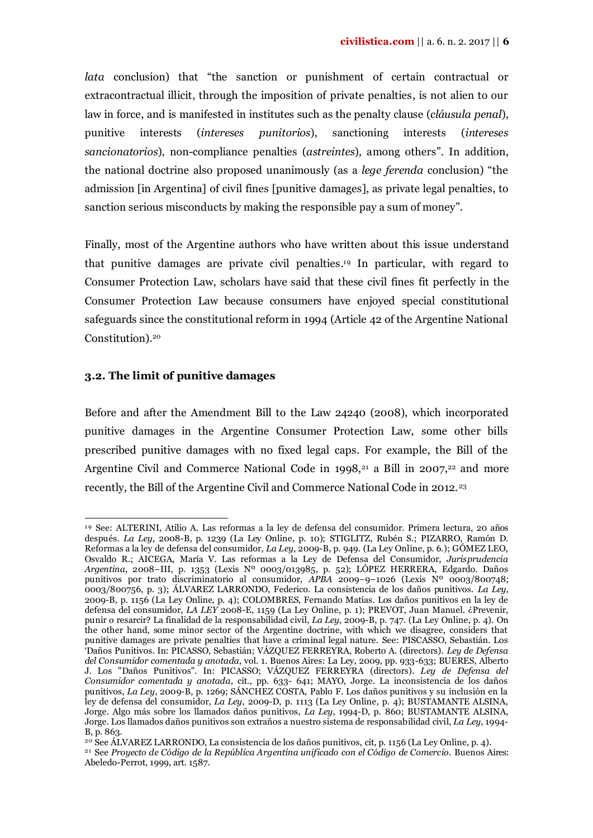*lata* conclusion) that "the sanction or punishment of certain contractual or extracontractual illicit, through the imposition of private penalties, is not alien to our law in force, and is manifested in institutes such as the penalty clause (*cláusula penal*), punitive interests (*intereses punitorios*), sanctioning interests (*intereses sancionatorios*), non-compliance penalties (*astreintes*), among others". In addition, the national doctrine also proposed unanimously (as a *lege ferenda* conclusion) "the admission [in Argentina] of civil fines [punitive damages], as private legal penalties, to sanction serious misconducts by making the responsible pay a sum of money".

Finally, most of the Argentine authors who have written about this issue understand that punitive damages are private civil penalties. <sup>19</sup> In particular, with regard to Consumer Protection Law, scholars have said that these civil fines fit perfectly in the Consumer Protection Law because consumers have enjoyed special constitutional safeguards since the constitutional reform in 1994 (Article 42 of the Argentine National Constitution). 20

# **3.2. The limit of punitive damages**

Before and after the Amendment Bill to the Law 24240 (2008), which incorporated punitive damages in the Argentine Consumer Protection Law, some other bills prescribed punitive damages with no fixed legal caps. For example, the Bill of the Argentine Civil and Commerce National Code in 1998,<sup>21</sup> a Bill in 2007,<sup>22</sup> and more recently, the Bill of the Argentine Civil and Commerce National Code in 2012. <sup>23</sup>

 $\overline{a}$ <sup>19</sup> See: ALTERINI, Atilio A. Las reformas a la ley de defensa del consumidor. Primera lectura, 20 años después. *La Ley*, 2008-B, p. 1239 (La Ley Online, p. 10); STIGLITZ, Rubén S.; PIZARRO, Ramón D. Reformas a la ley de defensa del consumidor, *La Ley*, 2009-B, p. 949. (La Ley Online, p. 6.); GÓMEZ LEO, Osvaldo R.; AICEGA, María V. Las reformas a la Ley de Defensa del Consumidor, *Jurisprudencia Argentina*, 2008−III, p. 1353 (Lexis Nº 0003/013985, p. 52); LÓPEZ HERRERA, Edgardo. Daños punitivos por trato discriminatorio al consumidor, *APBA* 2009−9−1026 (Lexis Nº 0003/800748; 0003/800756, p. 3); ÁLVAREZ LARRONDO, Federico. La consistencia de los daños punitivos. *La Ley*, 2009-B, p. 1156 (La Ley Online, p. 4); COLOMBRES, Fernando Matías. Los daños punitivos en la ley de defensa del consumidor, *LA LEY* 2008-E, 1159 (La Ley Online, p. 1); PREVOT, Juan Manuel. ¿Prevenir, punir o resarcir? La finalidad de la responsabilidad civil, *La Ley*, 2009-B, p. 747. (La Ley Online, p. 4). On the other hand, some minor sector of the Argentine doctrine, with which we disagree, considers that punitive damages are private penalties that have a criminal legal nature. See: PISCASSO, Sebastián. Los 'Daños Punitivos. In: PICASSO, Sebastián; VÁZQUEZ FERREYRA, Roberto A. (directors). *Ley de Defensa del Consumidor comentada y anotada*, vol. 1*.* Buenos Aires: La Ley, 2009, pp. 933-633; BUERES, Alberto J. Los "Daños Punitivos". In: PICASSO; VÁZQUEZ FERREYRA (directors). *Ley de Defensa del Consumidor comentada y anotada*, cit., pp. 633- 641; MAYO, Jorge. La inconsistencia de los daños punitivos, *La Ley*, 2009-B, p. 1269; SÁNCHEZ COSTA, Pablo F. Los daños punitivos y su inclusión en la ley de defensa del consumidor, *La Ley*, 2009-D, p. 1113 (La Ley Online*,* p. 4); BUSTAMANTE ALSINA, Jorge. Algo más sobre los llamados daños punitivos, *La Ley*, 1994-D, p. 860; BUSTAMANTE ALSINA, Jorge. Los llamados daños punitivos son extraños a nuestro sistema de responsabilidad civil, *La Ley*, 1994- B, p. 863.

<sup>&</sup>lt;sup>20</sup> See ÁLVAREZ LARRONDO, La consistencia de los daños punitivos, cit, p. 1156 (La Ley Online, p. 4).

<sup>21</sup> See *Proyecto de Código de la República Argentina unificado con el Código de Comercio.* Buenos Aires: Abeledo-Perrot, 1999, art. 1587.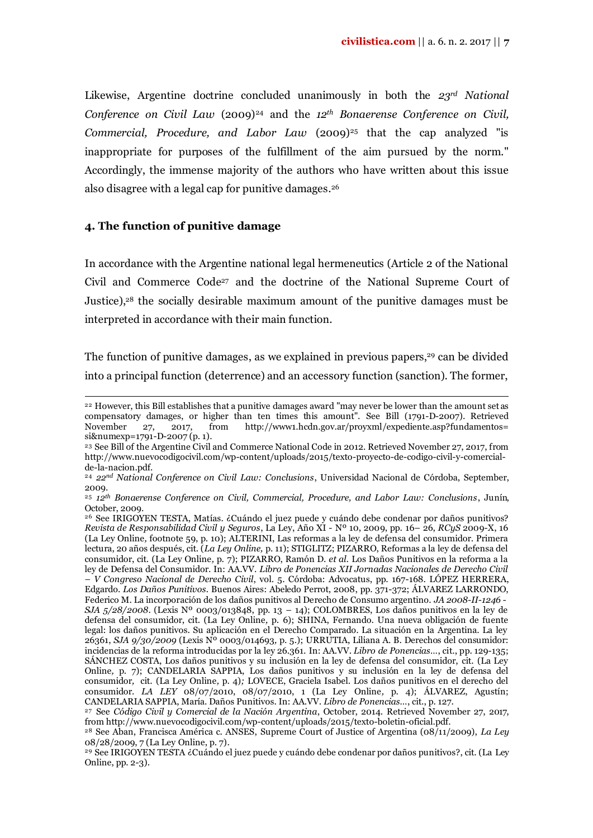Likewise, Argentine doctrine concluded unanimously in both the *23rd National Conference on Civil Law* (2009)<sup>24</sup> and the 12<sup>*th</sup> Bonaerense Conference on Civil,*</sup> *Commercial, Procedure, and Labor Law* (2009)<sup>25</sup> that the cap analyzed "is inappropriate for purposes of the fulfillment of the aim pursued by the norm." Accordingly, the immense majority of the authors who have written about this issue also disagree with a legal cap for punitive damages. 26

### **4. The function of punitive damage**

 $\overline{a}$ 

In accordance with the Argentine national legal hermeneutics (Article 2 of the National Civil and Commerce Code<sup>27</sup> and the doctrine of the National Supreme Court of Justice),<sup>28</sup> the socially desirable maximum amount of the punitive damages must be interpreted in accordance with their main function.

The function of punitive damages, as we explained in previous papers,<sup>29</sup> can be divided into a principal function (deterrence) and an accessory function (sanction). The former,

<sup>&</sup>lt;sup>22</sup> However, this Bill establishes that a punitive damages award "may never be lower than the amount set as compensatory damages, or higher than ten times this amount". See Bill (1791-D-2007). Retrieved November 27, 2017, from http://www1.hcdn.gov.ar/proyxml/expediente.asp?fundamentos= si&numexp=1791-D-2007 (p. 1).

<sup>23</sup> See Bill of the Argentine Civil and Commerce National Code in 2012. Retrieved November 27, 2017, from http://www.nuevocodigocivil.com/wp-content/uploads/2015/texto-proyecto-de-codigo-civil-y-comercialde-la-nacion.pdf.

<sup>24</sup> *22nd National Conference on Civil Law: Conclusions*, Universidad Nacional de Córdoba, September, 2009.

<sup>25</sup> *12th Bonaerense Conference on Civil, Commercial, Procedure, and Labor Law: Conclusions*, Junín, October, 2009.

<sup>26</sup> See IRIGOYEN TESTA, Matías. ¿Cuándo el juez puede y cuándo debe condenar por daños punitivos? *Revista de Responsabilidad Civil y Seguros*, La Ley, Año XI - Nº 10, 2009, pp. 16– 26, *RCyS* 2009-X, 16 (La Ley Online*,* footnote 59, p. 10); ALTERINI, Las reformas a la ley de defensa del consumidor. Primera lectura, 20 años después, cit. (*La Ley Online,* p. 11); STIGLITZ; PIZARRO, Reformas a la ley de defensa del consumidor, cit. (La Ley Online*,* p. 7); PIZARRO, Ramón D. *et al*. Los Daños Punitivos en la reforma a la ley de Defensa del Consumidor. In: AA.VV. *Libro de Ponencias XII Jornadas Nacionales de Derecho Civil – V Congreso Nacional de Derecho Civil*, vol. 5. Córdoba: Advocatus, pp. 167-168. LÓPEZ HERRERA, Edgardo. *Los Daños Punitivos.* Buenos Aires: Abeledo Perrot, 2008, pp. 371-372; ÁLVAREZ LARRONDO, Federico M. La incorporación de los daños punitivos al Derecho de Consumo argentino. *JA 2008-II-1246 - SJA 5/28/2008*. (Lexis Nº 0003/013848, pp. 13 – 14); COLOMBRES, Los daños punitivos en la ley de defensa del consumidor, cit. (La Ley Online*,* p. 6); SHINA, Fernando. Una nueva obligación de fuente legal: los daños punitivos. Su aplicación en el Derecho Comparado. La situación en la Argentina. La ley 26361, *SJA 9/30/2009* (Lexis Nº 0003/014693*,* p. 5.); URRUTIA, Liliana A. B. Derechos del consumidor: incidencias de la reforma introducidas por la ley 26.361. In: AA.VV. *Libro de Ponencias…*, cit., pp. 129-135; SÁNCHEZ COSTA, Los daños punitivos y su inclusión en la ley de defensa del consumidor, cit. (La Ley Online*,* p. 7); CANDELARIA SAPPIA, Los daños punitivos y su inclusión en la ley de defensa del consumidor*,* cit. (La Ley Online*,* p. 4)*;* LOVECE, Graciela Isabel. Los daños punitivos en el derecho del consumidor. *LA LEY* 08/07/2010, 08/07/2010, 1 (La Ley Online*,* p. 4); ÁLVAREZ, Agustín; CANDELARIA SAPPIA, María. Daños Punitivos. In: AA.VV. *Libro de Ponencias…*, cit., p. 127.

<sup>27</sup> See *Código Civil y Comercial de la Nación Argentina*, October, 2014. Retrieved November 27, 2017, from http://www.nuevocodigocivil.com/wp-content/uploads/2015/texto-boletin-oficial.pdf.

<sup>28</sup> See Aban, Francisca América c. ANSES, Supreme Court of Justice of Argentina (08/11/2009), *La Ley* 08/28/2009, 7 (La Ley Online, p. 7).

<sup>29</sup> See IRIGOYEN TESTA ¿Cuándo el juez puede y cuándo debe condenar por daños punitivos?, cit. (La Ley Online, pp. 2-3).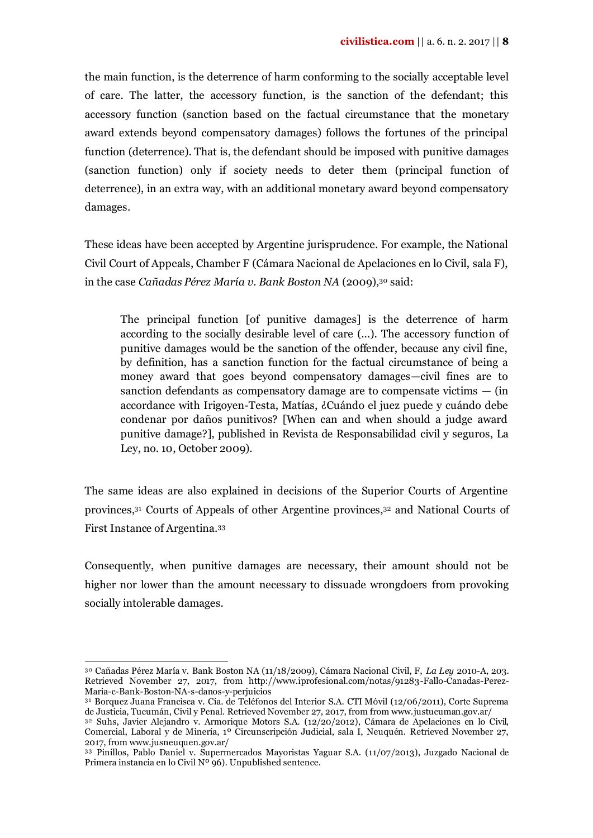the main function, is the deterrence of harm conforming to the socially acceptable level of care. The latter, the accessory function, is the sanction of the defendant; this accessory function (sanction based on the factual circumstance that the monetary award extends beyond compensatory damages) follows the fortunes of the principal function (deterrence). That is, the defendant should be imposed with punitive damages (sanction function) only if society needs to deter them (principal function of deterrence), in an extra way, with an additional monetary award beyond compensatory damages.

These ideas have been accepted by Argentine jurisprudence. For example, the National Civil Court of Appeals, Chamber F (Cámara Nacional de Apelaciones en lo Civil, sala F), in the case *Cañadas Pérez María v. Bank Boston NA* (2009),<sup>30</sup> said:

The principal function [of punitive damages] is the deterrence of harm according to the socially desirable level of care (...). The accessory function of punitive damages would be the sanction of the offender, because any civil fine, by definition, has a sanction function for the factual circumstance of being a money award that goes beyond compensatory damages—civil fines are to sanction defendants as compensatory damage are to compensate victims  $-$  (in accordance with Irigoyen-Testa, Matías, ¿Cuándo el juez puede y cuándo debe condenar por daños punitivos? [When can and when should a judge award punitive damage?], published in Revista de Responsabilidad civil y seguros, La Ley, no. 10, October 2009).

The same ideas are also explained in decisions of the Superior Courts of Argentine provinces,<sup>31</sup> Courts of Appeals of other Argentine provinces,<sup>32</sup> and National Courts of First Instance of Argentina. 33

Consequently, when punitive damages are necessary, their amount should not be higher nor lower than the amount necessary to dissuade wrongdoers from provoking socially intolerable damages.

 $\overline{a}$ 

<sup>30</sup> Cañadas Pérez María v. Bank Boston NA (11/18/2009), Cámara Nacional Civil, F, *La Ley* 2010-A, 203. Retrieved November 27, 2017, from http://www.iprofesional.com/notas/91283-Fallo-Canadas-Perez-Maria-c-Bank-Boston-NA-s-danos-y-perjuicios

<sup>31</sup> Borquez Juana Francisca v. Cía. de Teléfonos del Interior S.A. CTI Móvil (12/06/2011), Corte Suprema de Justicia, Tucumán, Civil y Penal. Retrieved November 27, 2017, from from www.justucuman.gov.ar/

<sup>32</sup> Suhs, Javier Alejandro v. Armorique Motors S.A. (12/20/2012), Cámara de Apelaciones en lo Civil, Comercial, Laboral y de Minería, 1º Circunscripción Judicial, sala I, Neuquén. Retrieved November 27, 2017, from www.jusneuquen.gov.ar/

<sup>33</sup> Pinillos, Pablo Daniel v. Supermercados Mayoristas Yaguar S.A. (11/07/2013), Juzgado Nacional de Primera instancia en lo Civil Nº 96). Unpublished sentence.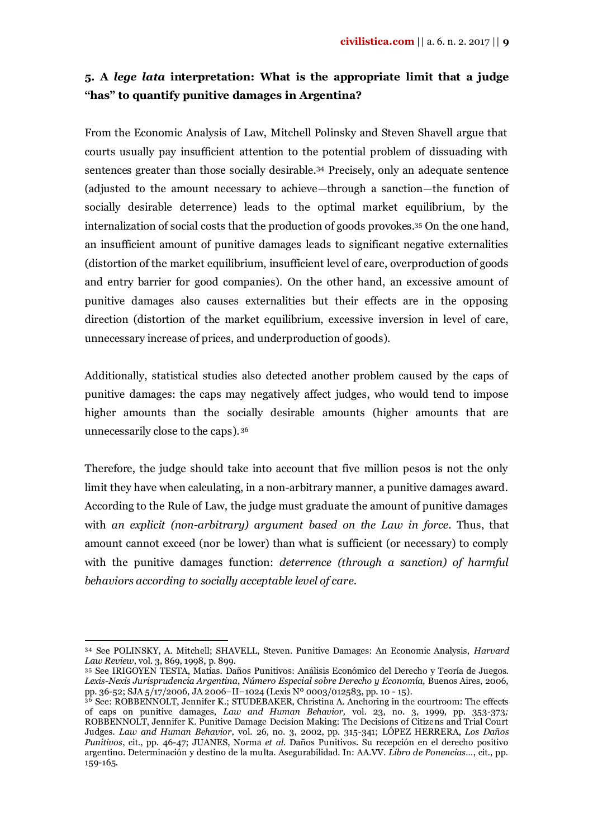# **5. A** *lege lata* **interpretation: What is the appropriate limit that a judge "has" to quantify punitive damages in Argentina?**

From the Economic Analysis of Law, Mitchell Polinsky and Steven Shavell argue that courts usually pay insufficient attention to the potential problem of dissuading with sentences greater than those socially desirable.<sup>34</sup> Precisely, only an adequate sentence (adjusted to the amount necessary to achieve—through a sanction—the function of socially desirable deterrence) leads to the optimal market equilibrium, by the internalization of social costs that the production of goods provokes.<sup>35</sup> On the one hand, an insufficient amount of punitive damages leads to significant negative externalities (distortion of the market equilibrium, insufficient level of care, overproduction of goods and entry barrier for good companies). On the other hand, an excessive amount of punitive damages also causes externalities but their effects are in the opposing direction (distortion of the market equilibrium, excessive inversion in level of care, unnecessary increase of prices, and underproduction of goods).

Additionally, statistical studies also detected another problem caused by the caps of punitive damages: the caps may negatively affect judges, who would tend to impose higher amounts than the socially desirable amounts (higher amounts that are unnecessarily close to the caps). <sup>36</sup>

Therefore, the judge should take into account that five million pesos is not the only limit they have when calculating, in a non-arbitrary manner, a punitive damages award. According to the Rule of Law, the judge must graduate the amount of punitive damages with *an explicit (non-arbitrary) argument based on the Law in force*. Thus, that amount cannot exceed (nor be lower) than what is sufficient (or necessary) to comply with the punitive damages function: *deterrence (through a sanction) of harmful behaviors according to socially acceptable level of care*.

1

<sup>34</sup> See POLINSKY, A. Mitchell; SHAVELL, Steven. Punitive Damages: An Economic Analysis, *Harvard Law Review*, vol. 3, 869, 1998, p. 899.

<sup>35</sup> See IRIGOYEN TESTA, Matías. Daños Punitivos: Análisis Económico del Derecho y Teoría de Juegos. *Lexis-Nexis Jurisprudencia Argentina*, *Número Especial sobre Derecho y Economía,* Buenos Aires, 2006, pp. 36-52; SJA 5/17/2006, JA 2006−II−1024 (Lexis Nº 0003/012583, pp. 10 - 15).

<sup>36</sup> See: ROBBENNOLT, Jennifer K.; STUDEBAKER, Christina A. Anchoring in the courtroom: The effects of caps on punitive damages, *Law and Human Behavior,* vol. 23, no. 3, 1999, pp. 353-373*;*  ROBBENNOLT, Jennifer K. Punitive Damage Decision Making: The Decisions of Citizens and Trial Court Judges. *Law and Human Behavior*, vol. 26, no. 3, 2002, pp. 315-341; LÓPEZ HERRERA, *Los Daños Punitivos*, cit., pp. 46-47; JUANES, Norma *et al.* Daños Punitivos. Su recepción en el derecho positivo argentino. Determinación y destino de la multa. Asegurabilidad. In: AA.VV. *Libro de Ponencias…*, cit., pp. 159-165.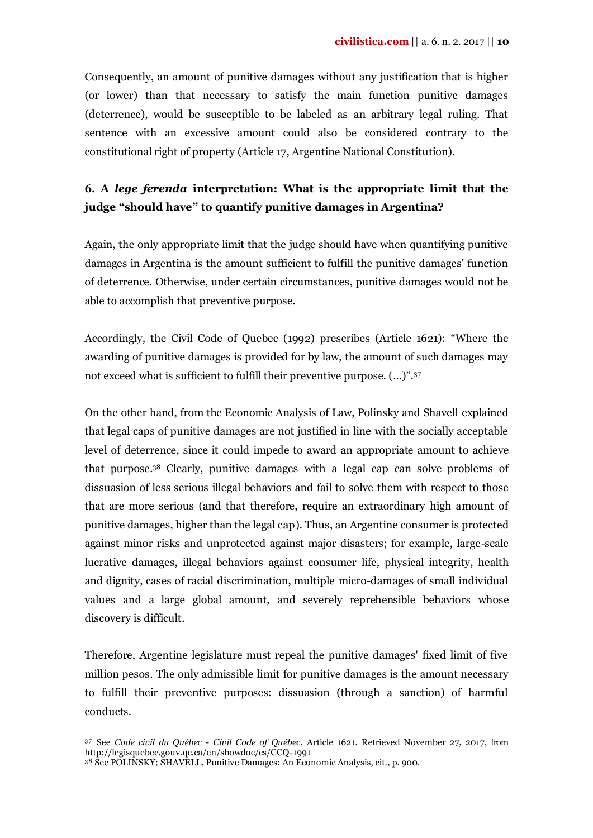Consequently, an amount of punitive damages without any justification that is higher (or lower) than that necessary to satisfy the main function punitive damages (deterrence), would be susceptible to be labeled as an arbitrary legal ruling. That sentence with an excessive amount could also be considered contrary to the constitutional right of property (Article 17, Argentine National Constitution).

# **6. A** *lege ferenda* **interpretation: What is the appropriate limit that the judge "should have" to quantify punitive damages in Argentina?**

Again, the only appropriate limit that the judge should have when quantifying punitive damages in Argentina is the amount sufficient to fulfill the punitive damages' function of deterrence. Otherwise, under certain circumstances, punitive damages would not be able to accomplish that preventive purpose.

Accordingly, the Civil Code of Quebec (1992) prescribes (Article 1621): "Where the awarding of punitive damages is provided for by law, the amount of such damages may not exceed what is sufficient to fulfill their preventive purpose. (...)".<sup>37</sup>

On the other hand, from the Economic Analysis of Law, Polinsky and Shavell explained that legal caps of punitive damages are not justified in line with the socially acceptable level of deterrence, since it could impede to award an appropriate amount to achieve that purpose. <sup>38</sup> Clearly, punitive damages with a legal cap can solve problems of dissuasion of less serious illegal behaviors and fail to solve them with respect to those that are more serious (and that therefore, require an extraordinary high amount of punitive damages, higher than the legal cap). Thus, an Argentine consumer is protected against minor risks and unprotected against major disasters; for example, large-scale lucrative damages, illegal behaviors against consumer life, physical integrity, health and dignity, cases of racial discrimination, multiple micro-damages of small individual values and a large global amount, and severely reprehensible behaviors whose discovery is difficult.

Therefore, Argentine legislature must repeal the punitive damages' fixed limit of five million pesos. The only admissible limit for punitive damages is the amount necessary to fulfill their preventive purposes: dissuasion (through a sanction) of harmful conducts.

1

<sup>37</sup> See *Code civil du Québec - Civil Code of Québec*, Article 1621. Retrieved November 27, 2017, from http://legisquebec.gouv.qc.ca/en/showdoc/cs/CCQ-1991

<sup>38</sup> See POLINSKY; SHAVELL, Punitive Damages: An Economic Analysis, cit.*,* p. 900.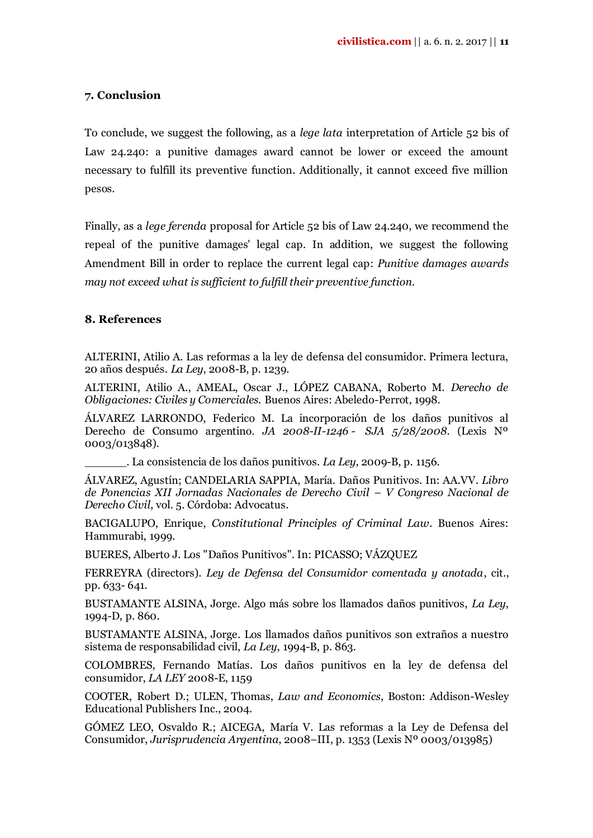## **7. Conclusion**

To conclude, we suggest the following, as a *lege lata* interpretation of Article 52 bis of Law 24.240: a punitive damages award cannot be lower or exceed the amount necessary to fulfill its preventive function. Additionally, it cannot exceed five million pesos.

Finally, as a *lege ferenda* proposal for Article 52 bis of Law 24.240, we recommend the repeal of the punitive damages' legal cap. In addition, we suggest the following Amendment Bill in order to replace the current legal cap: *Punitive damages awards may not exceed what is sufficient to fulfill their preventive function.*

### **8. References**

ALTERINI, Atilio A. Las reformas a la ley de defensa del consumidor. Primera lectura, 20 años después. *La Ley*, 2008-B, p. 1239.

ALTERINI, Atilio A., AMEAL, Oscar J., LÓPEZ CABANA, Roberto M. *Derecho de Obligaciones: Civiles y Comerciales.* Buenos Aires: Abeledo-Perrot, 1998.

ÁLVAREZ LARRONDO, Federico M. La incorporación de los daños punitivos al Derecho de Consumo argentino. *JA 2008-II-1246 - SJA 5/28/2008*. (Lexis Nº 0003/013848).

\_\_\_\_\_\_. La consistencia de los daños punitivos. *La Ley*, 2009-B, p. 1156.

ÁLVAREZ, Agustín; CANDELARIA SAPPIA, María. Daños Punitivos. In: AA.VV. *Libro de Ponencias XII Jornadas Nacionales de Derecho Civil – V Congreso Nacional de Derecho Civil*, vol. 5. Córdoba: Advocatus.

BACIGALUPO, Enrique, *Constitutional Principles of Criminal Law*. Buenos Aires: Hammurabi, 1999.

BUERES, Alberto J. Los "Daños Punitivos". In: PICASSO; VÁZQUEZ

FERREYRA (directors). *Ley de Defensa del Consumidor comentada y anotada*, cit., pp. 633- 641.

BUSTAMANTE ALSINA, Jorge. Algo más sobre los llamados daños punitivos, *La Ley*, 1994-D, p. 860.

BUSTAMANTE ALSINA, Jorge. Los llamados daños punitivos son extraños a nuestro sistema de responsabilidad civil, *La Ley*, 1994-B, p. 863.

COLOMBRES, Fernando Matías. Los daños punitivos en la ley de defensa del consumidor, *LA LEY* 2008-E, 1159

COOTER, Robert D.; ULEN, Thomas, *Law and Economics*, Boston: Addison-Wesley Educational Publishers Inc., 2004.

GÓMEZ LEO, Osvaldo R.; AICEGA, María V. Las reformas a la Ley de Defensa del Consumidor, *Jurisprudencia Argentina*, 2008−III, p. 1353 (Lexis Nº 0003/013985)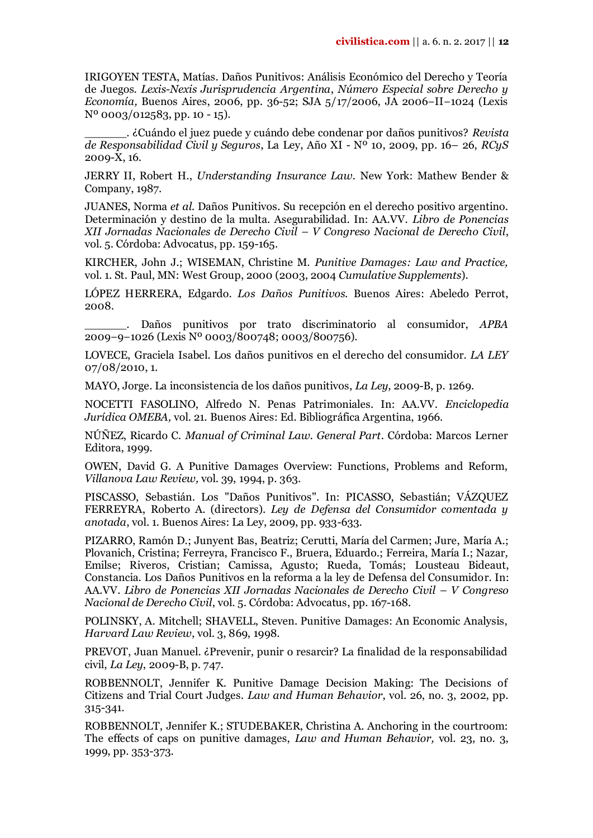IRIGOYEN TESTA, Matías. Daños Punitivos: Análisis Económico del Derecho y Teoría de Juegos. *Lexis-Nexis Jurisprudencia Argentina*, *Número Especial sobre Derecho y Economía,* Buenos Aires, 2006, pp. 36-52; SJA 5/17/2006, JA 2006−II−1024 (Lexis Nº 0003/012583, pp. 10 - 15).

\_\_\_\_\_\_. ¿Cuándo el juez puede y cuándo debe condenar por daños punitivos? *Revista de Responsabilidad Civil y Seguros*, La Ley, Año XI - Nº 10, 2009, pp. 16– 26, *RCyS*  2009-X, 16.

JERRY II, Robert H., *Understanding Insurance Law.* New York: Mathew Bender & Company, 1987.

JUANES, Norma *et al.* Daños Punitivos. Su recepción en el derecho positivo argentino. Determinación y destino de la multa. Asegurabilidad. In: AA.VV. *Libro de Ponencias XII Jornadas Nacionales de Derecho Civil – V Congreso Nacional de Derecho Civil*, vol. 5. Córdoba: Advocatus, pp. 159-165.

KIRCHER, John J.; WISEMAN, Christine M. *Punitive Damages: Law and Practice,*  vol. 1. St. Paul, MN: West Group, 2000 (2003, 2004 *Cumulative Supplements*).

LÓPEZ HERRERA, Edgardo. *Los Daños Punitivos.* Buenos Aires: Abeledo Perrot, 2008.

\_\_\_\_\_\_. Daños punitivos por trato discriminatorio al consumidor, *APBA*  2009−9−1026 (Lexis Nº 0003/800748; 0003/800756).

LOVECE, Graciela Isabel. Los daños punitivos en el derecho del consumidor. *LA LEY* 07/08/2010, 1.

MAYO, Jorge. La inconsistencia de los daños punitivos, *La Ley*, 2009-B, p. 1269.

NOCETTI FASOLINO, Alfredo N. Penas Patrimoniales. In: AA.VV. *Enciclopedia Jurídica OMEBA,* vol. 21. Buenos Aires: Ed. Bibliográfica Argentina, 1966.

NÚÑEZ, Ricardo C. *Manual of Criminal Law. General Part*. Córdoba: Marcos Lerner Editora, 1999.

OWEN, David G. A Punitive Damages Overview: Functions, Problems and Reform, *Villanova Law Review,* vol. 39, 1994, p. 363.

PISCASSO, Sebastián. Los "Daños Punitivos". In: PICASSO, Sebastián; VÁZQUEZ FERREYRA, Roberto A. (directors). *Ley de Defensa del Consumidor comentada y anotada*, vol. 1*.* Buenos Aires: La Ley, 2009, pp. 933-633.

PIZARRO, Ramón D.; Junyent Bas, Beatriz; Cerutti, María del Carmen; Jure, María A.; Plovanich, Cristina; Ferreyra, Francisco F., Bruera, Eduardo.; Ferreira, María I.; Nazar, Emilse; Riveros, Cristian; Camissa, Agusto; Rueda, Tomás; Lousteau Bideaut, Constancia. Los Daños Punitivos en la reforma a la ley de Defensa del Consumidor. In: AA.VV. *Libro de Ponencias XII Jornadas Nacionales de Derecho Civil – V Congreso Nacional de Derecho Civil*, vol. 5. Córdoba: Advocatus, pp. 167-168.

POLINSKY, A. Mitchell; SHAVELL, Steven. Punitive Damages: An Economic Analysis, *Harvard Law Review*, vol. 3, 869, 1998.

PREVOT, Juan Manuel. ¿Prevenir, punir o resarcir? La finalidad de la responsabilidad civil, *La Ley*, 2009-B, p. 747.

ROBBENNOLT, Jennifer K. Punitive Damage Decision Making: The Decisions of Citizens and Trial Court Judges. *Law and Human Behavior*, vol. 26, no. 3, 2002, pp. 315-341.

ROBBENNOLT, Jennifer K.; STUDEBAKER, Christina A. Anchoring in the courtroom: The effects of caps on punitive damages, *Law and Human Behavior,* vol. 23, no. 3, 1999, pp. 353-373.